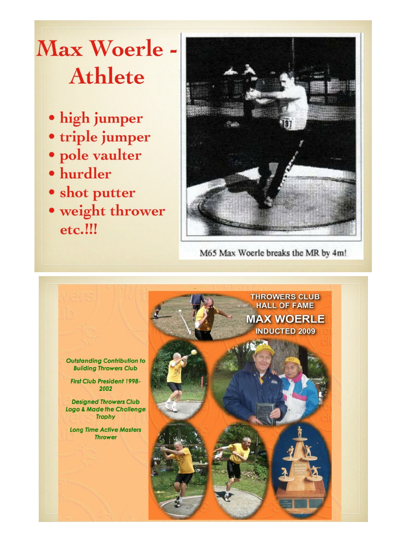## **Max Woerle Athlete**

- · high jumper
- · triple jumper
- · pole vaulter
- · hurdler
- shot putter
- · weight thrower etc.!!!



M65 Max Woerle breaks the MR by 4m!